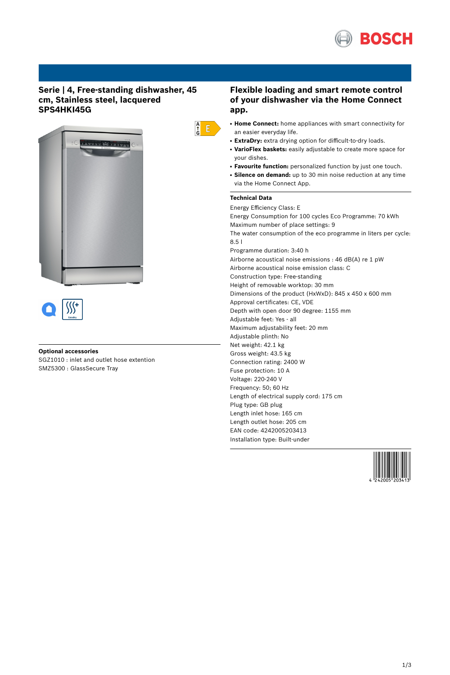

## **Serie | 4, Free-standing dishwasher, 45 cm, Stainless steel, lacquered SPS4HKI45G**



#### **Optional accessories**

SGZ1010 : inlet and outlet hose extention SMZ5300 : GlassSecure Tray

## **Flexible loading and smart remote control of your dishwasher via the Home Connect app.**

- **Home Connect:** home appliances with smart connectivity for an easier everyday life.
- ExtraDry: extra drying option for difficult-to-dry loads.
- **VarioFlex baskets:** easily adjustable to create more space for your dishes.
- **Favourite function:** personalized function by just one touch.
- Silence on demand: up to 30 min noise reduction at any time via the Home Connect App.

# **Technical Data**

 $\begin{array}{c} A \\ \uparrow \\ G \end{array}$ 

Energy Efficiency Class: E Energy Consumption for 100 cycles Eco Programme: 70 kWh Maximum number of place settings: 9 The water consumption of the eco programme in liters per cycle: 8.5 l Programme duration: 3:40 h Airborne acoustical noise emissions : 46 dB(A) re 1 pW Airborne acoustical noise emission class: C Construction type: Free-standing Height of removable worktop: 30 mm Dimensions of the product (HxWxD): 845 x 450 x 600 mm Approval certificates: CE, VDE Depth with open door 90 degree: 1155 mm Adjustable feet: Yes - all Maximum adjustability feet: 20 mm Adjustable plinth: No Net weight: 42.1 kg Gross weight: 43.5 kg Connection rating: 2400 W Fuse protection: 10 A Voltage: 220-240 V Frequency: 50; 60 Hz Length of electrical supply cord: 175 cm Plug type: GB plug Length inlet hose: 165 cm Length outlet hose: 205 cm EAN code: 4242005203413 Installation type: Built-under

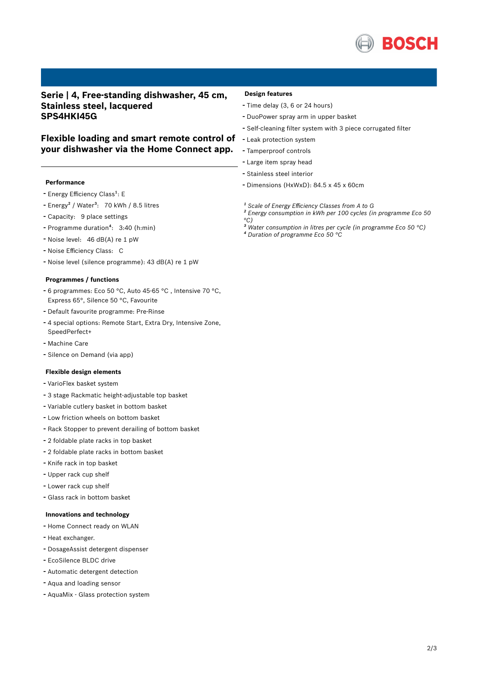

## **Serie | 4, Free-standing dishwasher, 45 cm, Stainless steel, lacquered SPS4HKI45G**

## **Flexible loading and smart remote control of your dishwasher via the Home Connect app.**

## **Performance**

- Energy Efficiency Class<sup>1</sup>: E
- Energy<sup>2</sup> / Water<sup>3</sup>: 70 kWh / 8.5 litres
- Capacity: <sup>9</sup> place settings
- Programme duration<sup>4</sup>: 3:40 (h:min)
- Noise level: <sup>46</sup> dB(A) re <sup>1</sup> pW
- Noise Efficiency Class: <sup>C</sup>
- Noise level (silence programme): <sup>43</sup> dB(A) re <sup>1</sup> pW

#### **Programmes / functions**

- <sup>6</sup> programmes: Eco <sup>50</sup> °C, Auto 45-65 °C , Intensive <sup>70</sup> °C, Express 65°, Silence 50 °C, Favourite
- Default favourite programme: Pre-Rinse
- <sup>4</sup> special options: Remote Start, Extra Dry, Intensive Zone, SpeedPerfect+
- Machine Care
- Silence on Demand (via app)

#### **Flexible design elements**

- VarioFlex basket system
- <sup>3</sup> stage Rackmatic height-adjustable top basket
- Variable cutlery basket in bottom basket
- Low friction wheels on bottom basket
- Rack Stopper to prevent derailing of bottom basket
- <sup>2</sup> foldable plate racks in top basket
- <sup>2</sup> foldable plate racks in bottom basket
- Knife rack in top basket
- Upper rack cup shelf
- Lower rack cup shelf
- Glass rack in bottom basket

### **Innovations and technology**

- Home Connect ready on WLAN
- Heat exchanger.
- DosageAssist detergent dispenser
- EcoSilence BLDC drive
- Automatic detergent detection
- Aqua and loading sensor
- AquaMix Glass protection system

#### **Design features**

- Time delay (3, <sup>6</sup> or <sup>24</sup> hours)
- DuoPower spray arm in upper basket
- Self-cleaning filter system with <sup>3</sup> piece corrugated filter
- Leak protection system
- Tamperproof controls
- Large item spray head
- Stainless steel interior
- Dimensions (HxWxD): 84.5 x 45 x 60cm
- *¹ Scale of Energy Efficiency Classes from A to G*
- *² Energy consumption in kWh per 100 cycles (in programme Eco 50 °C)*
- *³ Water consumption in litres per cycle (in programme Eco 50 °C)*
- *⁴ Duration of programme Eco 50 °C*